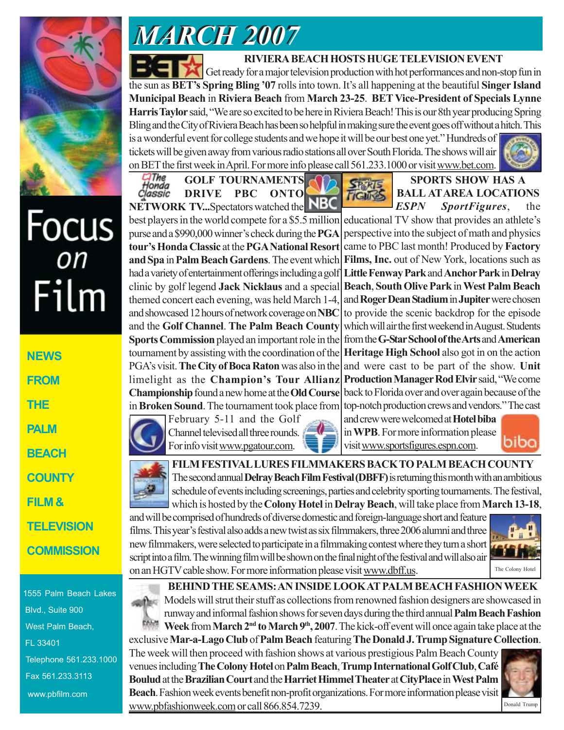

# *MARCH 2007 MARCH 2007*

## **RIVIERA BEACH HOSTS HUGE TELEVISION EVENT**

**TIGUIES** 

Get ready for a major television production with hot performances and non-stop fun in the sun as **BET's Spring Bling '07** rolls into town. It's all happening at the beautiful **Singer Island Municipal Beach** in **Riviera Beach** from **March 23-25**. **BET Vice-President of Specials Lynne Harris Taylor** said, "We are so excited to be here in Riviera Beach! This is our 8th year producing Spring Bling and the City of Riviera Beach has been so helpful in making sure the event goes off without a hitch. This is a wonderful event for college students and we hope it will be our best one yet." Hundreds of tickets will be given away from various radio stations all over South Florida. The shows will air on BET the first week in April. For more info please call 561.233.1000 or visit www.bet.com.

LIThe<br>Honda<br>Classic **GOLF TOURNAMENTS DRIVE PBC ONTO NETWORK TV...**Spectators watched the



| <b>NEWS</b>   |
|---------------|
| <b>FROM</b>   |
| THE           |
| <b>PALM</b>   |
| <b>BEACH</b>  |
| <b>COUNTY</b> |
| FILM &        |

**TELEVISION**

# **COMMISSION**

1555 Palm Beach Lakes Blvd., Suite 900 West Palm Beach, FL 33401 Telephone 561.233.1000 Fax 561.233.3113 www.pbfilm.com

best players in the world compete for a \$5.5 million purse and a \$990,000 winner's check during the **PGA tour's Honda Classic** at the **PGA National Resort and Spa** in **Palm Beach Gardens**. The event which had a variety of entertainment offerings including a golf clinic by golf legend **Jack Nicklaus** and a special themed concert each evening, was held March 1-4, and showcased 12 hours of network coverage on **NBC** and the **Golf Channel**. **The Palm Beach County Sports Commission** played an important role in the tournament by assisting with the coordination of the PGA's visit. **The City of Boca Raton** was also in the limelight as the **Champion's Tour Allianz Championship** found a new home at the **Old Course** in **Broken Sound**. The tournament took place from

> February 5-11 and the Golf Channel televised all three rounds. For info visit www.pgatour.com.



and crew were welcomed at **Hotel biba** in **WPB**. For more information please biba visit www.sportsfigures.espn.com.

**SPORTS SHOW HAS A BALL AT AREA LOCATIONS** *ESPN SportFigures*, the

educational TV show that provides an athlete's perspective into the subject of math and physics came to PBC last month! Produced by **Factory Films, Inc.** out of New York, locations such as **Little Fenway Park** and **Anchor Park** in **Delray Beach**, **South Olive Park** in **West Palm Beach** and **Roger Dean Stadium** in **Jupiter** were chosen to provide the scenic backdrop for the episode which will air the first weekend in August. Students from the **G-Star School of the Arts** and **American Heritage High School** also got in on the action and were cast to be part of the show. **Unit Production Manager Rod Elvir** said, "We come back to Florida over and over again because of the top-notch production crews and vendors." The cast

**FILM FESTIVAL LURES FILMMAKERS BACK TO PALM BEACH COUNTY** The second annual **Delray Beach Film Festival (DBFF)** is returning this month with an ambitious schedule of events including screenings, parties and celebrity sporting tournaments. The festival, which is hosted by the **Colony Hotel** in **Delray Beach**, will take place from **March 13-18**,

and will be comprised of hundreds of diverse domestic and foreign-language short and feature films. This year's festival also adds a new twist as six filmmakers, three 2006 alumni and three new filmmakers, were selected to participate in a filmmaking contest where they turn a short script into a film. The winning film will be shown on the final night of the festival and will also air on an HGTV cable show. For more information please visit www.dbff.us.



**BEHIND THE SEAMS: AN INSIDE LOOK AT PALM BEACH FASHION WEEK** Models will strut their stuff as collections from renowned fashion designers are showcased in runway and informal fashion shows for seven days during the third annual **Palm Beach Fashion** Week from **March 2<sup>nd</sup>** to **March 9<sup>th</sup>**, 2007. The kick-off event will once again take place at the

exclusive **Mar-a-Lago Club** of **Palm Beach** featuring **The Donald J. Trump Signature Collection**. The week will then proceed with fashion shows at various prestigious Palm Beach County venues including **The Colony Hotel** on **Palm Beach**, **Trump International Golf Club**, **Café Boulud** at the **Brazilian Court** and the **Harriet Himmel Theater** at **CityPlace** in **West Palm Beach**. Fashion week events benefit non-profit organizations. For more information please visit www.pbfashionweek.com or call 866.854.7239. Donald Trump